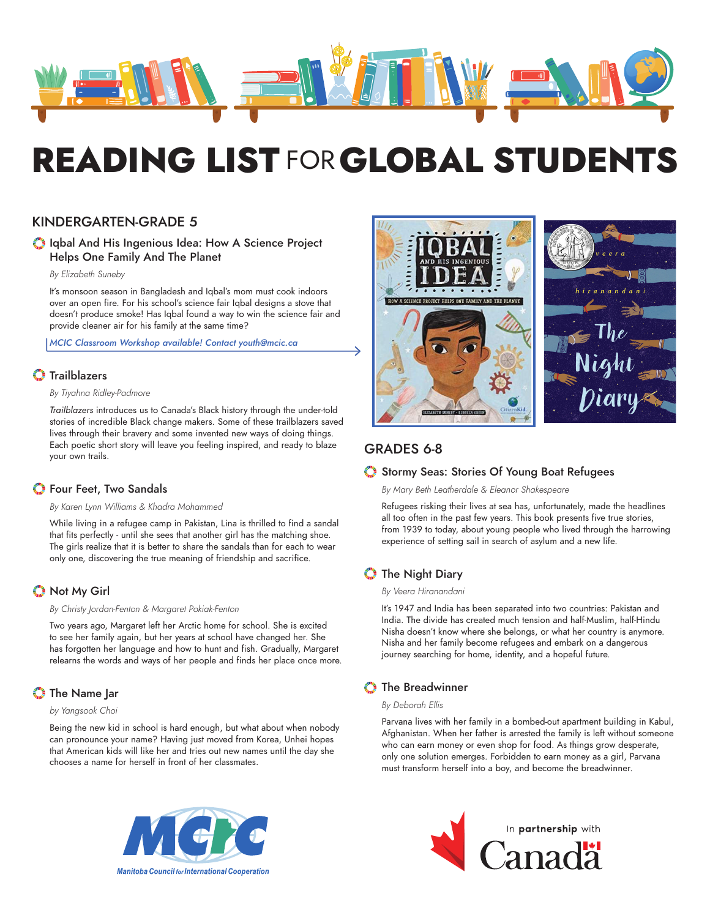

# READING LIST FOR GLOBAL STUDENTS

# KINDERGARTEN-GRADE 5

## Iqbal And His Ingenious Idea: How A Science Project Helps One Family And The Planet

*By Elizabeth Suneby* 

It's monsoon season in Bangladesh and Iqbal's mom must cook indoors over an open fire. For his school's science fair Iqbal designs a stove that doesn't produce smoke! Has Iqbal found a way to win the science fair and provide cleaner air for his family at the same time?

*MCIC Classroom Workshop available! Contact youth@mcic.ca*

# **O** Trailblazers

## *By Tiyahna Ridley-Padmore*

*Trailblazers* introduces us to Canada's Black history through the under-told stories of incredible Black change makers. Some of these trailblazers saved lives through their bravery and some invented new ways of doing things. Each poetic short story will leave you feeling inspired, and ready to blaze your own trails.

## **S** Four Feet, Two Sandals

### *By Karen Lynn Williams & Khadra Mohammed*

While living in a refugee camp in Pakistan, Lina is thrilled to find a sandal that fits perfectly - until she sees that another girl has the matching shoe. The girls realize that it is better to share the sandals than for each to wear only one, discovering the true meaning of friendship and sacrifice.

# Not My Girl

### *By Christy Jordan-Fenton & Margaret Pokiak-Fenton*

Two years ago, Margaret left her Arctic home for school. She is excited to see her family again, but her years at school have changed her. She has forgotten her language and how to hunt and fish. Gradually, Margaret relearns the words and ways of her people and finds her place once more.

# The Name Jar

## *by Yangsook Choi*

Being the new kid in school is hard enough, but what about when nobody can pronounce your name? Having just moved from Korea, Unhei hopes that American kids will like her and tries out new names until the day she chooses a name for herself in front of her classmates.





# GRADES 6-8

## Stormy Seas: Stories Of Young Boat Refugees

*By Mary Beth Leatherdale & Eleanor Shakespeare*

Refugees risking their lives at sea has, unfortunately, made the headlines all too often in the past few years. This book presents five true stories, from 1939 to today, about young people who lived through the harrowing experience of setting sail in search of asylum and a new life.

# The Night Diary

### *By Veera Hiranandani*

It's 1947 and India has been separated into two countries: Pakistan and India. The divide has created much tension and half-Muslim, half-Hindu Nisha doesn't know where she belongs, or what her country is anymore. Nisha and her family become refugees and embark on a dangerous journey searching for home, identity, and a hopeful future.

# **The Breadwinner**

### *By Deborah Ellis*

Parvana lives with her family in a bombed-out apartment building in Kabul, Afghanistan. When her father is arrested the family is left without someone who can earn money or even shop for food. As things grow desperate, only one solution emerges. Forbidden to earn money as a girl, Parvana must transform herself into a boy, and become the breadwinner.